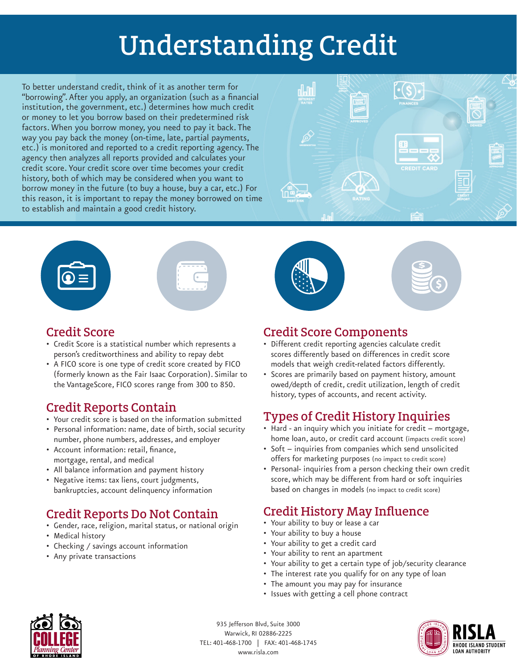# Understanding Credit

To better understand credit, think of it as another term for "borrowing". After you apply, an organization (such as a financial institution, the government, etc.) determines how much credit or money to let you borrow based on their predetermined risk factors. When you borrow money, you need to pay it back. The way you pay back the money (on-time, late, partial payments, etc.) is monitored and reported to a credit reporting agency. The agency then analyzes all reports provided and calculates your credit score. Your credit score over time becomes your credit history, both of which may be considered when you want to borrow money in the future (to buy a house, buy a car, etc.) For this reason, it is important to repay the money borrowed on time to establish and maintain a good credit history.









- Credit Score is a statistical number which represents a person's creditworthiness and ability to repay debt
- A FICO score is one type of credit score created by FICO (formerly known as the Fair Isaac Corporation). Similar to the VantageScore, FICO scores range from 300 to 850.

## Credit Reports Contain

- Your credit score is based on the information submitted
- Personal information: name, date of birth, social security number, phone numbers, addresses, and employer
- Account information: retail, finance, mortgage, rental, and medical
- All balance information and payment history
- Negative items: tax liens, court judgments, bankruptcies, account delinquency information

## Credit Reports Do Not Contain

- Gender, race, religion, marital status, or national origin
- Medical history
- Checking / savings account information
- Any private transactions



#### Credit Score Components

- Different credit reporting agencies calculate credit scores differently based on differences in credit score models that weigh credit-related factors differently.
- Scores are primarily based on payment history, amount owed/depth of credit, credit utilization, length of credit history, types of accounts, and recent activity.

## Types of Credit History Inquiries

- Hard an inquiry which you initiate for credit mortgage, home loan, auto, or credit card account (impacts credit score)
- Soft inquiries from companies which send unsolicited offers for marketing purposes (no impact to credit score)
- Personal- inquiries from a person checking their own credit score, which may be different from hard or soft inquiries based on changes in models (no impact to credit score)

## Credit History May Influence

- Your ability to buy or lease a car
- Your ability to buy a house
- Your ability to get a credit card
- Your ability to rent an apartment
- Your ability to get a certain type of job/security clearance
- The interest rate you qualify for on any type of loan
- The amount you may pay for insurance
- Issues with getting a cell phone contract



935 Jefferson Blvd, Suite 3000 Warwick, RI 02886-2225 TEL: 401-468-1700 | FAX: 401-468-1745 www.risla.com

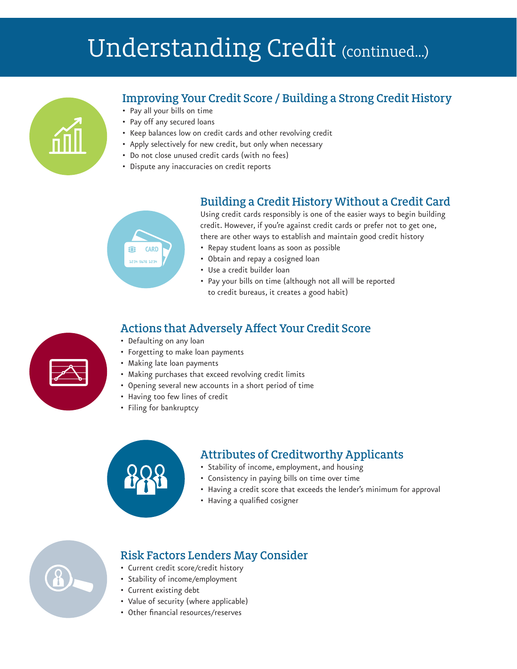# Understanding Credit (continued...)



### Improving Your Credit Score / Building a Strong Credit History

- Pay all your bills on time
- Pay off any secured loans
- Keep balances low on credit cards and other revolving credit
- Apply selectively for new credit, but only when necessary
- Do not close unused credit cards (with no fees)
- Dispute any inaccuracies on credit reports

# **CARD** .<br>234 5678 123

Building a Credit History Without a Credit Card Using credit cards responsibly is one of the easier ways to begin building credit. However, if you're against credit cards or prefer not to get one,

there are other ways to establish and maintain good credit history

- Repay student loans as soon as possible
- Obtain and repay a cosigned loan
- Use a credit builder loan
- Pay your bills on time (although not all will be reported to credit bureaus, it creates a good habit)

#### Actions that Adversely Affect Your Credit Score

- Defaulting on any loan
- Forgetting to make loan payments
- Making late loan payments
- Making purchases that exceed revolving credit limits
- Opening several new accounts in a short period of time
- Having too few lines of credit
- Filing for bankruptcy

#### Attributes of Creditworthy Applicants • Stability of income, employment, and housing

- Consistency in paying bills on time over time
- Having a credit score that exceeds the lender's minimum for approval
- Having a qualified cosigner



#### Risk Factors Lenders May Consider

- Current credit score/credit history
- Stability of income/employment
- Current existing debt
- Value of security (where applicable)
- Other financial resources/reserves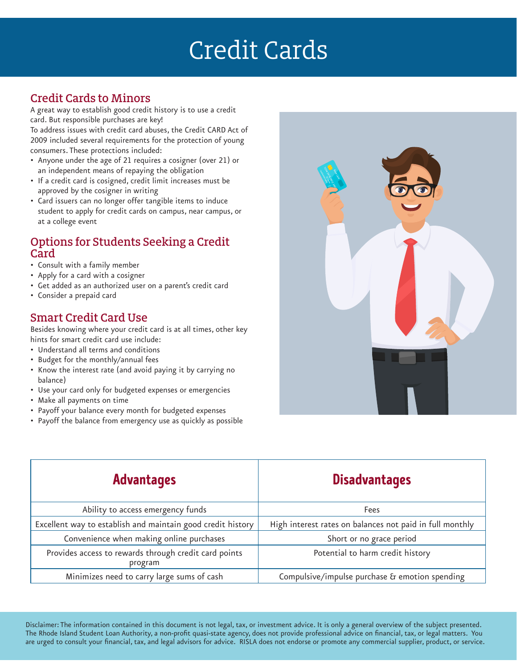# Credit Cards

#### Credit Cards to Minors

A great way to establish good credit history is to use a credit card. But responsible purchases are key!

To address issues with credit card abuses, the Credit CARD Act of 2009 included several requirements for the protection of young consumers. These protections included:

- Anyone under the age of 21 requires a cosigner (over 21) or an independent means of repaying the obligation
- If a credit card is cosigned, credit limit increases must be approved by the cosigner in writing
- Card issuers can no longer offer tangible items to induce student to apply for credit cards on campus, near campus, or at a college event

#### Options for Students Seeking a Credit Card

- Consult with a family member
- Apply for a card with a cosigner
- Get added as an authorized user on a parent's credit card
- Consider a prepaid card

#### Smart Credit Card Use

Besides knowing where your credit card is at all times, other key hints for smart credit card use include:

- Understand all terms and conditions
- Budget for the monthly/annual fees
- Know the interest rate (and avoid paying it by carrying no balance)
- Use your card only for budgeted expenses or emergencies
- Make all payments on time
- Payoff your balance every month for budgeted expenses
- Payoff the balance from emergency use as quickly as possible

| 60 |
|----|
|    |

| <b>Advantages</b>                                                | <b>Disadvantages</b>                                     |
|------------------------------------------------------------------|----------------------------------------------------------|
| Ability to access emergency funds                                | Fees                                                     |
| Excellent way to establish and maintain good credit history      | High interest rates on balances not paid in full monthly |
| Convenience when making online purchases                         | Short or no grace period                                 |
| Provides access to rewards through credit card points<br>program | Potential to harm credit history                         |
| Minimizes need to carry large sums of cash                       | Compulsive/impulse purchase & emotion spending           |

Disclaimer: The information contained in this document is not legal, tax, or investment advice. It is only a general overview of the subject presented. The Rhode Island Student Loan Authority, a non-profit quasi-state agency, does not provide professional advice on financial, tax, or legal matters. You are urged to consult your financial, tax, and legal advisors for advice. RISLA does not endorse or promote any commercial supplier, product, or service.